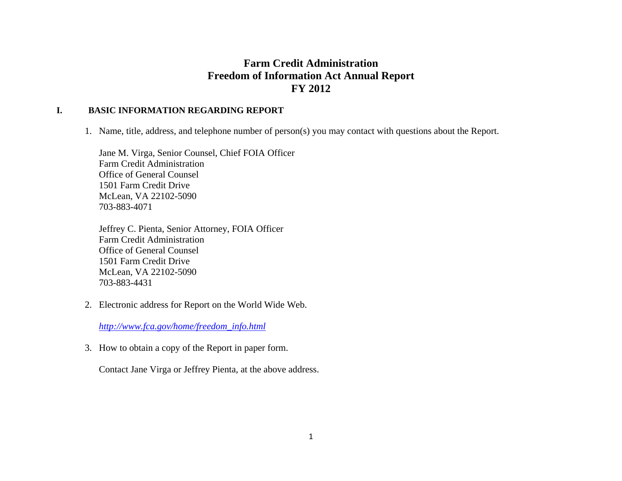# **Farm Credit Administration Freedom of Information Act Annual Report FY 2012**

#### **I. BASIC INFORMATION REGARDING REPORT**

1. Name, title, address, and telephone number of person(s) you may contact with questions about the Report.

Jane M. Virga, Senior Counsel, Chief FOIA Officer Farm Credit Administration Office of General Counsel 1501 Farm Credit Drive McLean, VA 22102-5090 703-883-4071

Jeffrey C. Pienta, Senior Attorney, FOIA Officer Farm Credit Administration Office of General Counsel 1501 Farm Credit Drive McLean, VA 22102-5090 703-883-4431

2. Electronic address for Report on the World Wide Web.

*http://www.fca.gov/home/freedom\_info.html* 

3. How to obtain a copy of the Report in paper form.

Contact Jane Virga or Jeffrey Pienta, at the above address.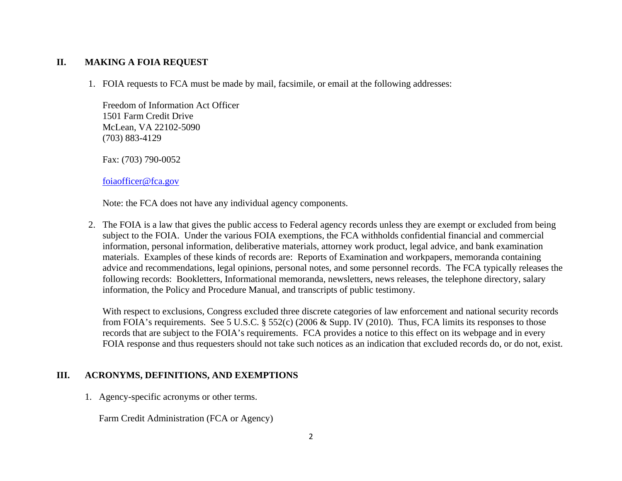#### **II. MAKING A FOIA REQUEST**

1. FOIA requests to FCA must be made by mail, facsimile, or email at the following addresses:

Freedom of Information Act Officer 1501 Farm Credit Drive McLean, VA 22102-5090 (703) 883-4129

Fax: (703) 790-0052

foiaofficer@fca.gov

Note: the FCA does not have any individual agency components.

2. The FOIA is a law that gives the public access to Federal agency records unless they are exempt or excluded from being subject to the FOIA. Under the various FOIA exemptions, the FCA withholds confidential financial and commercial information, personal information, deliberative materials, attorney work product, legal advice, and bank examination materials. Examples of these kinds of records are: Reports of Examination and workpapers, memoranda containing advice and recommendations, legal opinions, personal notes, and some personnel records. The FCA typically releases the following records: Bookletters, Informational memoranda, newsletters, news releases, the telephone directory, salary information, the Policy and Procedure Manual, and transcripts of public testimony.

With respect to exclusions, Congress excluded three discrete categories of law enforcement and national security records from FOIA's requirements. See 5 U.S.C. § 552(c) (2006 & Supp. IV (2010). Thus, FCA limits its responses to those records that are subject to the FOIA's requirements. FCA provides a notice to this effect on its webpage and in every FOIA response and thus requesters should not take such notices as an indication that excluded records do, or do not, exist.

#### **III. ACRONYMS, DEFINITIONS, AND EXEMPTIONS**

1. Agency-specific acronyms or other terms.

Farm Credit Administration (FCA or Agency)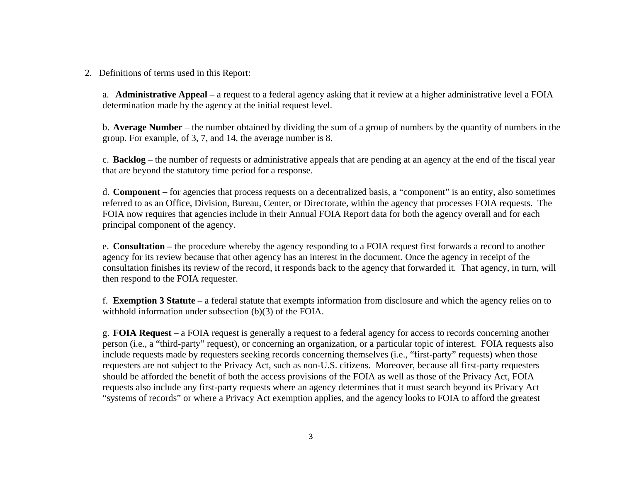2. Definitions of terms used in this Report:

a. **Administrative Appeal** – a request to a federal agency asking that it review at a higher administrative level a FOIA determination made by the agency at the initial request level.

b. **Average Number** – the number obtained by dividing the sum of a group of numbers by the quantity of numbers in the group. For example, of 3, 7, and 14, the average number is 8.

c. **Backlog** – the number of requests or administrative appeals that are pending at an agency at the end of the fiscal year that are beyond the statutory time period for a response.

d. **Component –** for agencies that process requests on a decentralized basis, a "component" is an entity, also sometimes referred to as an Office, Division, Bureau, Center, or Directorate, within the agency that processes FOIA requests. The FOIA now requires that agencies include in their Annual FOIA Report data for both the agency overall and for each principal component of the agency.

e. **Consultation –** the procedure whereby the agency responding to a FOIA request first forwards a record to another agency for its review because that other agency has an interest in the document. Once the agency in receipt of the consultation finishes its review of the record, it responds back to the agency that forwarded it. That agency, in turn, will then respond to the FOIA requester.

f. **Exemption 3 Statute** – a federal statute that exempts information from disclosure and which the agency relies on to withhold information under subsection (b)(3) of the FOIA.

g. **FOIA Request** – a FOIA request is generally a request to a federal agency for access to records concerning another person (i.e., a "third-party" request), or concerning an organization, or a particular topic of interest. FOIA requests also include requests made by requesters seeking records concerning themselves (i.e., "first-party" requests) when those requesters are not subject to the Privacy Act, such as non-U.S. citizens. Moreover, because all first-party requesters should be afforded the benefit of both the access provisions of the FOIA as well as those of the Privacy Act, FOIA requests also include any first-party requests where an agency determines that it must search beyond its Privacy Act "systems of records" or where a Privacy Act exemption applies, and the agency looks to FOIA to afford the greatest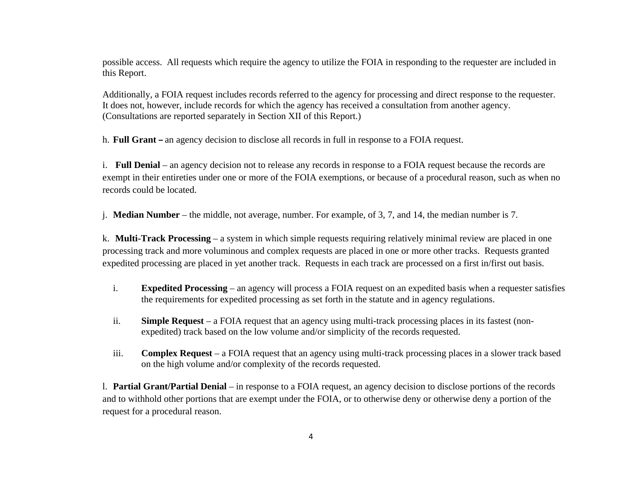possible access. All requests which require the agency to utilize the FOIA in responding to the requester are included in this Report.

Additionally, a FOIA request includes records referred to the agency for processing and direct response to the requester. It does not, however, include records for which the agency has received a consultation from another agency. (Consultations are reported separately in Section XII of this Report.)

h. **Full Grant –** an agency decision to disclose all records in full in response to a FOIA request.

i. **Full Denial** – an agency decision not to release any records in response to a FOIA request because the records are exempt in their entireties under one or more of the FOIA exemptions, or because of a procedural reason, such as when no records could be located.

j. **Median Number** – the middle, not average, number. For example, of 3, 7, and 14, the median number is 7.

k. **Multi-Track Processing** – a system in which simple requests requiring relatively minimal review are placed in one processing track and more voluminous and complex requests are placed in one or more other tracks. Requests granted expedited processing are placed in yet another track. Requests in each track are processed on a first in/first out basis.

- i. **Expedited Processing** – an agency will process a FOIA request on an expedited basis when a requester satisfies the requirements for expedited processing as set forth in the statute and in agency regulations.
- ii. **Simple Request** – a FOIA request that an agency using multi-track processing places in its fastest (nonexpedited) track based on the low volume and/or simplicity of the records requested.
- iii. **Complex Request** – a FOIA request that an agency using multi-track processing places in a slower track based on the high volume and/or complexity of the records requested.

l. **Partial Grant/Partial Denial** – in response to a FOIA request, an agency decision to disclose portions of the records and to withhold other portions that are exempt under the FOIA, or to otherwise deny or otherwise deny a portion of the request for a procedural reason.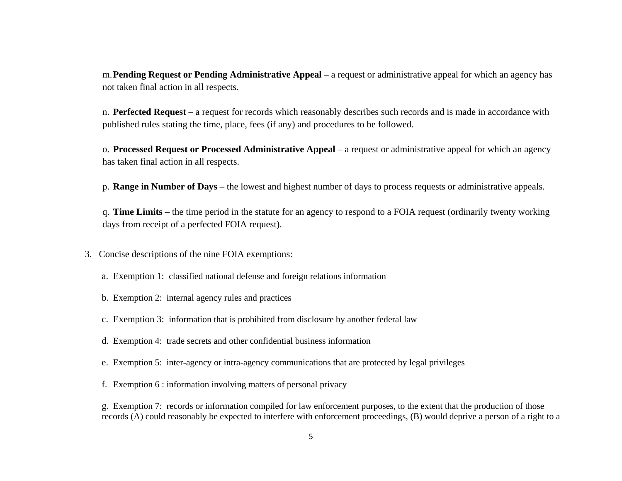m.**Pending Request or Pending Administrative Appeal** – a request or administrative appeal for which an agency has not taken final action in all respects.

n. **Perfected Request** – a request for records which reasonably describes such records and is made in accordance with published rules stating the time, place, fees (if any) and procedures to be followed.

o. **Processed Request or Processed Administrative Appeal** – a request or administrative appeal for which an agency has taken final action in all respects.

p. **Range in Number of Days** – the lowest and highest number of days to process requests or administrative appeals.

q. **Time Limits** – the time period in the statute for an agency to respond to a FOIA request (ordinarily twenty working days from receipt of a perfected FOIA request).

- 3. Concise descriptions of the nine FOIA exemptions:
	- a. Exemption 1: classified national defense and foreign relations information
	- b. Exemption 2: internal agency rules and practices
	- c. Exemption 3: information that is prohibited from disclosure by another federal law
	- d. Exemption 4: trade secrets and other confidential business information
	- e. Exemption 5: inter-agency or intra-agency communications that are protected by legal privileges
	- f. Exemption 6 : information involving matters of personal privacy

g. Exemption 7: records or information compiled for law enforcement purposes, to the extent that the production of those records (A) could reasonably be expected to interfere with enforcement proceedings, (B) would deprive a person of a right to a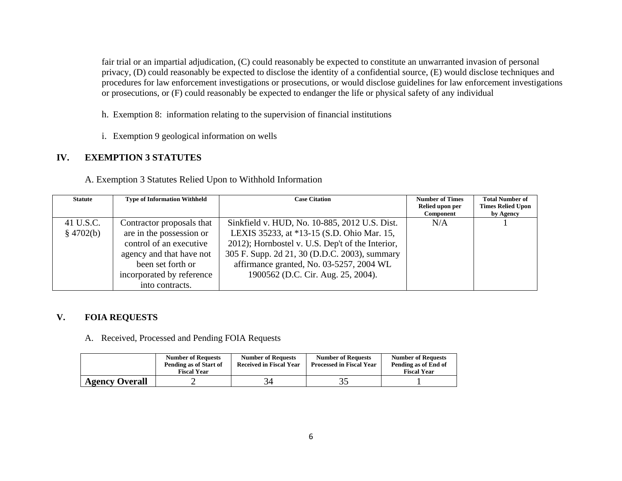fair trial or an impartial adjudication, (C) could reasonably be expected to constitute an unwarranted invasion of personal privacy, (D) could reasonably be expected to disclose the identity of a confidential source, (E) would disclose techniques and procedures for law enforcement investigations or prosecutions, or would disclose guidelines for law enforcement investigations or prosecutions, or (F) could reasonably be expected to endanger the life or physical safety of any individual

- h. Exemption 8: information relating to the supervision of financial institutions
- i. Exemption 9 geological information on wells

#### **IV. EXEMPTION 3 STATUTES**

A. Exemption 3 Statutes Relied Upon to Withhold Information

| <b>Statute</b> | <b>Type of Information Withheld</b> | <b>Case Citation</b>                             | <b>Number of Times</b>       | <b>Total Number of</b>                |
|----------------|-------------------------------------|--------------------------------------------------|------------------------------|---------------------------------------|
|                |                                     |                                                  | Relied upon per<br>Component | <b>Times Relied Upon</b><br>by Agency |
| 41 U.S.C.      | Contractor proposals that           | Sinkfield v. HUD, No. 10-885, 2012 U.S. Dist.    | N/A                          |                                       |
| \$4702(b)      | are in the possession or            | LEXIS 35233, at *13-15 (S.D. Ohio Mar. 15,       |                              |                                       |
|                | control of an executive             | 2012); Hornbostel v. U.S. Dep't of the Interior, |                              |                                       |
|                | agency and that have not            | 305 F. Supp. 2d 21, 30 (D.D.C. 2003), summary    |                              |                                       |
|                | been set forth or                   | affirmance granted, No. 03-5257, 2004 WL         |                              |                                       |
|                | incorporated by reference           | 1900562 (D.C. Cir. Aug. 25, 2004).               |                              |                                       |
|                | into contracts.                     |                                                  |                              |                                       |

#### **V. FOIA REQUESTS**

A. Received, Processed and Pending FOIA Requests

|                       | <b>Number of Requests</b><br>Pending as of Start of<br><b>Fiscal Year</b> | <b>Number of Requests</b><br><b>Received in Fiscal Year</b> | <b>Number of Requests</b><br><b>Processed in Fiscal Year</b> | <b>Number of Requests</b><br>Pending as of End of<br><b>Fiscal Year</b> |
|-----------------------|---------------------------------------------------------------------------|-------------------------------------------------------------|--------------------------------------------------------------|-------------------------------------------------------------------------|
| <b>Agency Overall</b> | -                                                                         |                                                             | ید ک                                                         |                                                                         |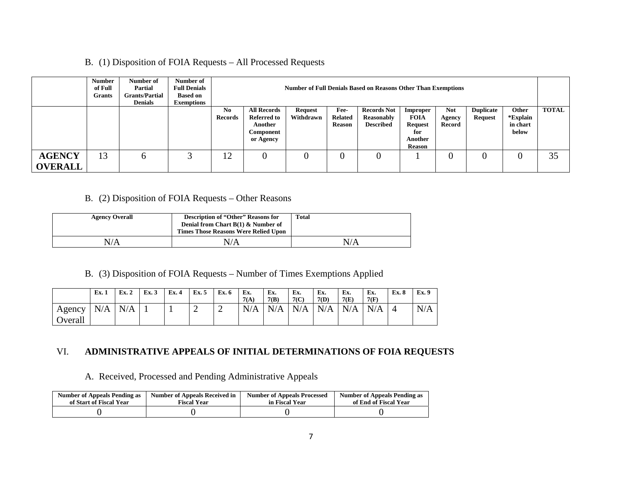B. (1) Disposition of FOIA Requests – All Processed Requests

|                                 | Number<br>of Full<br><b>Grants</b> | Number of<br><b>Partial</b><br><b>Grants/Partial</b><br><b>Denials</b> | Number of<br><b>Full Denials</b><br><b>Based on</b><br><b>Exemptions</b> |                                  | <b>Number of Full Denials Based on Reasons Other Than Exemptions</b>   |                             |                                         |                                                      |                                                                       |                                |                                    |                                        |              |
|---------------------------------|------------------------------------|------------------------------------------------------------------------|--------------------------------------------------------------------------|----------------------------------|------------------------------------------------------------------------|-----------------------------|-----------------------------------------|------------------------------------------------------|-----------------------------------------------------------------------|--------------------------------|------------------------------------|----------------------------------------|--------------|
|                                 |                                    |                                                                        |                                                                          | N <sub>0</sub><br><b>Records</b> | <b>All Records</b><br>Referred to<br>Another<br>Component<br>or Agency | <b>Request</b><br>Withdrawn | Fee-<br><b>Related</b><br><b>Reason</b> | <b>Records Not</b><br>Reasonably<br><b>Described</b> | Improper<br>FOIA<br><b>Request</b><br>for<br>Another<br><b>Reason</b> | <b>Not</b><br>Agency<br>Record | <b>Duplicate</b><br><b>Request</b> | Other<br>*Explain<br>in chart<br>below | <b>TOTAL</b> |
| <b>AGENCY</b><br><b>OVERALL</b> | 13                                 | O                                                                      |                                                                          | 12                               | $\overline{0}$                                                         |                             |                                         |                                                      |                                                                       |                                |                                    |                                        | 35           |

## B. (2) Disposition of FOIA Requests – Other Reasons

| <b>Agency Overall</b> | <b>Description of "Other" Reasons for</b><br>Denial from Chart $B(1)$ & Number of<br><b>Times Those Reasons Were Relied Upon</b> | <b>Total</b> |
|-----------------------|----------------------------------------------------------------------------------------------------------------------------------|--------------|
| N/A                   | N/A                                                                                                                              | N/A          |

### B. (3) Disposition of FOIA Requests – Number of Times Exemptions Applied

|         | Ex. 1 | Ex. 2 | Ex. 3 | Ex. 4 | Ex. 5 | Ex. 6 | Ex.<br>7(A) | Ex.<br>7(B) | Ex.<br>7(C) | Ex.<br>7(D) | Ex.<br>7(E) | Ex.<br>7(F) | Ex. 8          | Ex. 9 |
|---------|-------|-------|-------|-------|-------|-------|-------------|-------------|-------------|-------------|-------------|-------------|----------------|-------|
| Agency  | N/A   | N/A   |       |       | ∠     | ∼     | N/A         | N/A         | N/A         | N/A         | N/A         | N/A         | $\overline{4}$ | N/A   |
| Overall |       |       |       |       |       |       |             |             |             |             |             |             |                |       |

## VI. **ADMINISTRATIVE APPEALS OF INITIAL DETERMINATIONS OF FOIA REQUESTS**

A. Received, Processed and Pending Administrative Appeals

| <b>Number of Appeals Pending as</b> | Number of Appeals Received in | <b>Number of Appeals Processed</b> | <b>Number of Appeals Pending as</b> |
|-------------------------------------|-------------------------------|------------------------------------|-------------------------------------|
| of Start of Fiscal Year             | <b>Fiscal Year</b>            | in Fiscal Year                     | of End of Fiscal Year               |
|                                     |                               |                                    |                                     |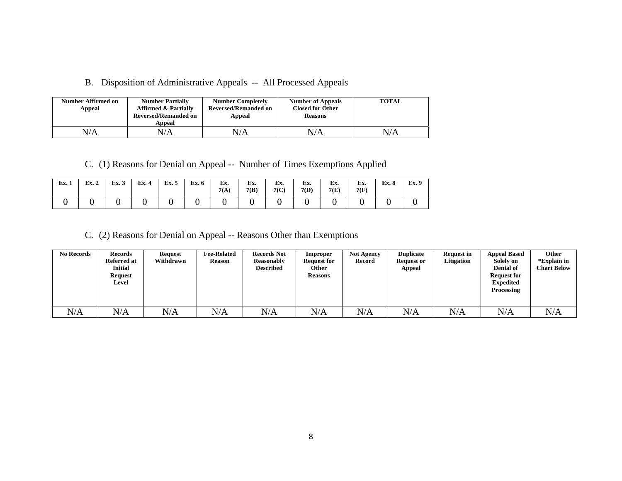B. Disposition of Administrative Appeals -- All Processed Appeals

| Number Affirmed on<br>Appeal | <b>Number Partially</b><br><b>Affirmed &amp; Partially</b><br><b>Reversed/Remanded on</b><br>Appeal | <b>Number Completely</b><br><b>Reversed/Remanded on</b><br>Appeal | <b>Number of Appeals</b><br><b>Closed for Other</b><br><b>Reasons</b> | <b>TOTAL</b> |
|------------------------------|-----------------------------------------------------------------------------------------------------|-------------------------------------------------------------------|-----------------------------------------------------------------------|--------------|
| N/A                          | N/A                                                                                                 | N/A                                                               | N/A                                                                   | N/A          |

C. (1) Reasons for Denial on Appeal -- Number of Times Exemptions Applied

| Ex. 1 | Ex. 2 | Ex. 3 | Ex. 4 | Ex. 5 | <b>Ex. 6</b> | Ex.<br>7(A) | Ex.<br>7(B) | Ex.<br>7(C) | Ex.<br>7(D) | Ex.<br>7(E) | Ex.<br>7(F) | Ex. 8 | Ex. 9 |
|-------|-------|-------|-------|-------|--------------|-------------|-------------|-------------|-------------|-------------|-------------|-------|-------|
|       |       |       |       |       |              |             |             |             |             |             |             |       |       |

C. (2) Reasons for Denial on Appeal -- Reasons Other than Exemptions

| <b>No Records</b> | <b>Records</b><br>Referred at<br><b>Initial</b><br><b>Request</b><br>Level | <b>Request</b><br>Withdrawn | <b>Fee-Related</b><br><b>Reason</b> | <b>Records Not</b><br><b>Reasonably</b><br><b>Described</b> | Improper<br><b>Request for</b><br>Other<br><b>Reasons</b> | <b>Not Agency</b><br>Record | <b>Duplicate</b><br><b>Request or</b><br>Appeal | <b>Request in</b><br>Litigation | <b>Appeal Based</b><br>Solely on<br><b>Denial of</b><br><b>Request for</b><br><b>Expedited</b><br>Processing | Other<br>*Explain in<br><b>Chart Below</b> |
|-------------------|----------------------------------------------------------------------------|-----------------------------|-------------------------------------|-------------------------------------------------------------|-----------------------------------------------------------|-----------------------------|-------------------------------------------------|---------------------------------|--------------------------------------------------------------------------------------------------------------|--------------------------------------------|
| N/A               | N/A                                                                        | $\rm N/A$                   | N/A                                 | N/A                                                         | N/A                                                       | N/A                         | N/A                                             | N/A                             | N/A                                                                                                          | N/A                                        |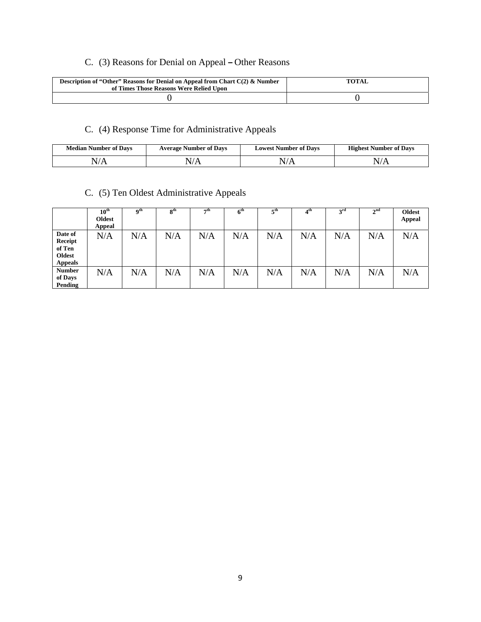# C. (3) Reasons for Denial on Appeal **–** Other Reasons

| Description of "Other" Reasons for Denial on Appeal from Chart $C(2)$ & Number<br>of Times Those Reasons Were Relied Upon | <b>TOTAL</b> |
|---------------------------------------------------------------------------------------------------------------------------|--------------|
|                                                                                                                           |              |

# C. (4) Response Time for Administrative Appeals

| <b>Median Number of Days</b> | <b>Average Number of Davs</b> | <b>Lowest Number of Davs</b> | <b>Highest Number of Days</b> |  |  |
|------------------------------|-------------------------------|------------------------------|-------------------------------|--|--|
|                              |                               |                              |                               |  |  |

# C. (5) Ten Oldest Administrative Appeals

|                                                                 | $10^{\text{th}}$<br><b>Oldest</b><br>Appeal | <b>Qth</b> | 8 <sup>th</sup> | $\neg$ th | $6^{\rm th}$ | 5 <sup>th</sup> | 4 <sup>th</sup> | 3 <sup>rd</sup> | 2 <sup>nd</sup> | <b>Oldest</b><br><b>Appeal</b> |
|-----------------------------------------------------------------|---------------------------------------------|------------|-----------------|-----------|--------------|-----------------|-----------------|-----------------|-----------------|--------------------------------|
| Date of<br>Receipt<br>of Ten<br><b>Oldest</b><br><b>Appeals</b> | N/A                                         | N/A        | N/A             | N/A       | N/A          | N/A             | N/A             | N/A             | N/A             | N/A                            |
| <b>Number</b><br>of Days<br>Pending                             | N/A                                         | N/A        | N/A             | N/A       | N/A          | N/A             | N/A             | N/A             | N/A             | N/A                            |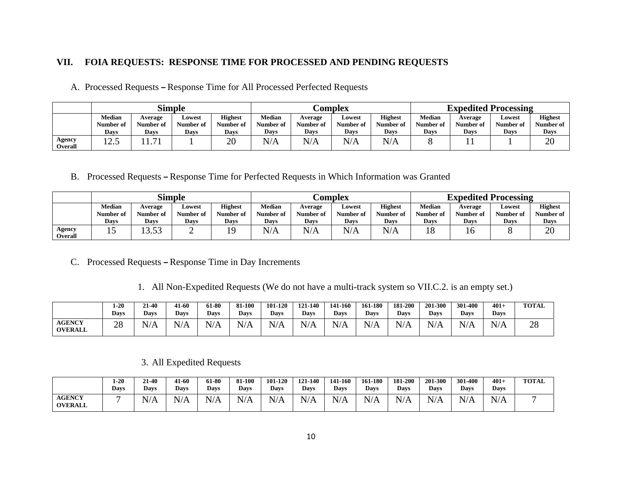#### **VII. FOIA REQUESTS: RESPONSE TIME FOR PROCESSED AND PENDING REQUESTS**

A. Processed Requests **–** Response Time for All Processed Perfected Requests

|                                 | <b>Simple</b>     |                   |                   |                          | <b>Complex</b>    |                          |                   |                   | <b>Expedited Processing</b> |                      |                   |                          |
|---------------------------------|-------------------|-------------------|-------------------|--------------------------|-------------------|--------------------------|-------------------|-------------------|-----------------------------|----------------------|-------------------|--------------------------|
|                                 | <b>Median</b>     | Average           | Lowest            | <b>Highest</b>           | Median            | Average                  | Lowest            | <b>Highest</b>    | Median                      | Average<br>Number of | Lowest            | <b>Highest</b>           |
|                                 | Number of<br>Days | Number of<br>Days | Number of<br>Davs | Number of<br><b>Days</b> | Number of<br>Davs | Number of<br><b>Days</b> | Number of<br>Days | Number of<br>Days | Number of<br>Days           | Days                 | Number of<br>Davs | Number of<br><b>Days</b> |
| <b>Agency</b><br><b>Overall</b> | $\sim$<br>⊥ ∠…    | 71<br>1.71        |                   | 20                       | N/A               | N/A                      | N/A               | N/A               |                             |                      |                   | 20                       |

B. Processed Requests **–** Response Time for Perfected Requests in Which Information was Granted

|                          | <b>Simple</b>              |                      |                     |                             | <b>Complex</b>             |                      |                                  |                             | <b>Expedited Processing</b> |                      |                     |                             |
|--------------------------|----------------------------|----------------------|---------------------|-----------------------------|----------------------------|----------------------|----------------------------------|-----------------------------|-----------------------------|----------------------|---------------------|-----------------------------|
|                          | <b>Median</b><br>Number of | Average<br>Number of | Lowest<br>Number of | <b>Highest</b><br>Number of | <b>Median</b><br>Number of | Average<br>Number of | Lowest<br>Number of              | <b>Highest</b><br>Number of | <b>Median</b><br>Number of  | Average<br>Number of | Lowest<br>Number of | <b>Highest</b><br>Number of |
|                          | Days                       | Davs                 | Days                | Days                        | Days                       | Davs                 | Davs                             | Days                        | <b>Days</b>                 | Davs                 | <b>Days</b>         | <b>Days</b>                 |
| Agency<br><b>Overall</b> |                            | 52<br>. J.JJ         | ∽                   | 19                          | N/A                        | NT/A<br>'N/A         | $\mathbf{L}$ $\mathbf{L}$<br>N/A | N/A                         | ıο                          | 1 C                  |                     | 20                          |

- C. Processed Requests **–** Response Time in Day Increments
	- 1. All Non-Expedited Requests (We do not have a multi-track system so VII.C.2. is an empty set.)

|                                 | $1-20$<br><b>Days</b> | 21-40<br><b>Davs</b> | 41-60<br><b>Days</b>           | 61-80<br>Days | 81-100<br>Days                                | 101-120<br>Days | 121-140<br>Days | 141-160<br><b>Davs</b> | 161-180<br><b>Days</b> | 181-200<br>Davs                               | 201-300<br><b>Days</b> | 301-400<br><b>Days</b>                              | 401<br>Days | <b>TOTAL</b> |
|---------------------------------|-----------------------|----------------------|--------------------------------|---------------|-----------------------------------------------|-----------------|-----------------|------------------------|------------------------|-----------------------------------------------|------------------------|-----------------------------------------------------|-------------|--------------|
| <b>AGENCY</b><br><b>OVERALL</b> | 28                    | N/A                  | T T<br>$\Lambda$<br>$N_{\ell}$ | N/<br>\/A     | $\mathbf{X}$ $\mathbf{I}$ $\mathbf{A}$<br>N/A | T / A<br>N/A    | N/A             | N/A                    | N/A                    | $\mathbf{N}$ T $\mathbf{I}$<br>N/<br>1 1/ 1 P | N<br>1 4 / T 7         | $\mathbb{I}/\Delta$<br>$\mathbf{N}/\mathbf{\Omega}$ | N/A         | ററ<br>20     |

#### 3. All Expedited Requests

|                                 | $1-20$<br><b>Davs</b> | 21-40<br>Davs | 41-60<br><b>Davs</b>                     | 61-80<br><b>Davs</b> | 81-100<br><b>Davs</b> | 101-120<br><b>Days</b> | 121-140<br><b>Days</b> | 141-160<br><b>Davs</b> | 161-180<br><b>Davs</b> | 181-200<br><b>Davs</b> | 201-300<br><b>Davs</b> | 301-400<br><b>Davs</b> | $401+$<br><b>Davs</b>   | <b>TOTAL</b> |
|---------------------------------|-----------------------|---------------|------------------------------------------|----------------------|-----------------------|------------------------|------------------------|------------------------|------------------------|------------------------|------------------------|------------------------|-------------------------|--------------|
| <b>AGENCY</b><br><b>OVERALL</b> |                       | N/A           | $\mathbf{r}$<br>N.<br>$\Delta$<br>17 L X | N/2<br>$\sqrt{1}$    | $N/\Delta$<br>ר / י   | N/A<br>.               | N/A                    | N/A                    | N/A                    | N/A                    | N/r                    | N/<br>11 L J           | $N/\Delta$<br>1 4 / T 7 |              |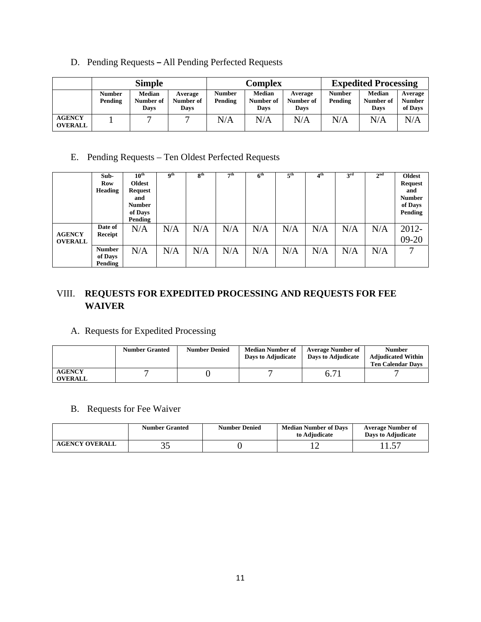D. Pending Requests **–** All Pending Perfected Requests

|                                 | <b>Simple</b>            |                                    |                              | <b>Complex</b>           |                                    |                              | <b>Expedited Processing</b> |                                    |                                     |
|---------------------------------|--------------------------|------------------------------------|------------------------------|--------------------------|------------------------------------|------------------------------|-----------------------------|------------------------------------|-------------------------------------|
|                                 | <b>Number</b><br>Pending | <b>Median</b><br>Number of<br>Days | Average<br>Number of<br>Days | <b>Number</b><br>Pending | <b>Median</b><br>Number of<br>Days | Average<br>Number of<br>Davs | <b>Number</b><br>Pending    | <b>Median</b><br>Number of<br>Days | Average<br><b>Number</b><br>of Days |
| <b>AGENCY</b><br><b>OVERALL</b> |                          |                                    |                              | N/A                      | N/A                                | N/A                          | N/A                         | N/A                                | N/A                                 |

E. Pending Requests – Ten Oldest Perfected Requests

|                                 | Sub-<br><b>Row</b><br><b>Heading</b> | $10^{\text{th}}$<br><b>Oldest</b><br>Request<br>and<br><b>Number</b><br>of Days<br>Pending | $\mathbf{Q}^{\text{th}}$ | 8 <sup>th</sup> | 7 <sup>th</sup> | $\overline{6}^{\text{th}}$ | 5 <sup>th</sup> | 4 <sup>th</sup> | 3 <sup>rd</sup> | 2 <sup>nd</sup> | Oldest<br><b>Request</b><br>and<br><b>Number</b><br>of Days<br>Pending |
|---------------------------------|--------------------------------------|--------------------------------------------------------------------------------------------|--------------------------|-----------------|-----------------|----------------------------|-----------------|-----------------|-----------------|-----------------|------------------------------------------------------------------------|
| <b>AGENCY</b><br><b>OVERALL</b> | Date of<br>Receipt                   | N/A                                                                                        | N/A                      | N/A             | N/A             | N/A                        | N/A             | N/A             | N/A             | N/A             | 2012-<br>$09 - 20$                                                     |
|                                 | <b>Number</b><br>of Days<br>Pending  | N/A                                                                                        | N/A                      | N/A             | N/A             | N/A                        | N/A             | N/A             | N/A             | N/A             | −                                                                      |

# VIII. **REQUESTS FOR EXPEDITED PROCESSING AND REQUESTS FOR FEE WAIVER**

## A. Requests for Expedited Processing

|                                 | <b>Number Granted</b> | <b>Number Denied</b> | <b>Median Number of</b><br>Days to Adjudicate | <b>Average Number of</b><br>Days to Adjudicate | <b>Number</b><br><b>Adjudicated Within</b><br><b>Ten Calendar Davs</b> |
|---------------------------------|-----------------------|----------------------|-----------------------------------------------|------------------------------------------------|------------------------------------------------------------------------|
| <b>AGENCY</b><br><b>OVERALL</b> |                       |                      |                                               | 6.71                                           |                                                                        |

B. Requests for Fee Waiver

|                       | <b>Number Granted</b> | <b>Number Denied</b> | <b>Median Number of Davs</b><br>to Adiudicate | <b>Average Number of</b><br>Davs to Adiudicate |
|-----------------------|-----------------------|----------------------|-----------------------------------------------|------------------------------------------------|
| <b>AGENCY OVERALL</b> | ب ب                   |                      |                                               | .                                              |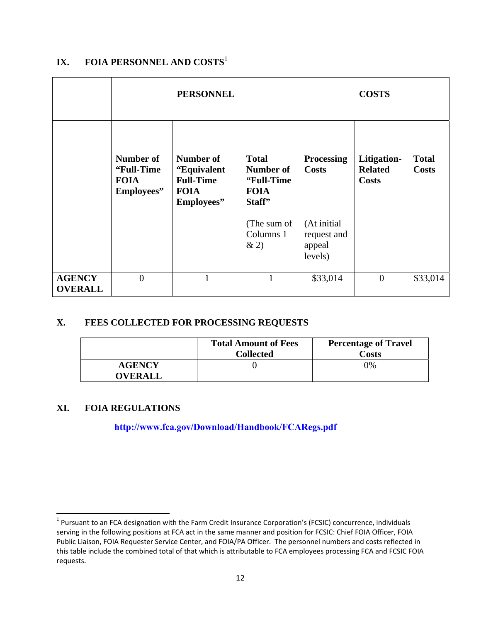# **IX. FOIA PERSONNEL AND COSTS**<sup>1</sup>

|                                 |                                                       | <b>PERSONNEL</b>                                                           | <b>COSTS</b>                                                      |                                                 |                                               |                              |
|---------------------------------|-------------------------------------------------------|----------------------------------------------------------------------------|-------------------------------------------------------------------|-------------------------------------------------|-----------------------------------------------|------------------------------|
|                                 | Number of<br>"Full-Time"<br><b>FOIA</b><br>Employees" | Number of<br>"Equivalent"<br><b>Full-Time</b><br><b>FOIA</b><br>Employees" | <b>Total</b><br>Number of<br>"Full-Time"<br><b>FOIA</b><br>Staff" | <b>Processing</b><br><b>Costs</b>               | Litigation-<br><b>Related</b><br><b>Costs</b> | <b>Total</b><br><b>Costs</b> |
|                                 |                                                       |                                                                            | (The sum of<br>Columns 1<br>&2)                                   | (At initial<br>request and<br>appeal<br>levels) |                                               |                              |
| <b>AGENCY</b><br><b>OVERALL</b> | $\theta$                                              | 1                                                                          | 1                                                                 | \$33,014                                        | $\overline{0}$                                | \$33,014                     |

## **X. FEES COLLECTED FOR PROCESSING REQUESTS**

|                                 | <b>Total Amount of Fees</b><br><b>Collected</b> | <b>Percentage of Travel</b><br>Costs |
|---------------------------------|-------------------------------------------------|--------------------------------------|
| <b>AGENCY</b><br><b>OVERALL</b> |                                                 | 0%                                   |

### **XI. FOIA REGULATIONS**

### **http://www.fca.gov/Download/Handbook/FCARegs.pdf**

 $1$  Pursuant to an FCA designation with the Farm Credit Insurance Corporation's (FCSIC) concurrence, individuals serving in the following positions at FCA act in the same manner and position for FCSIC: Chief FOIA Officer, FOIA Public Liaison, FOIA Requester Service Center, and FOIA/PA Officer. The personnel numbers and costs reflected in this table include the combined total of that which is attributable to FCA employees processing FCA and FCSIC FOIA requests.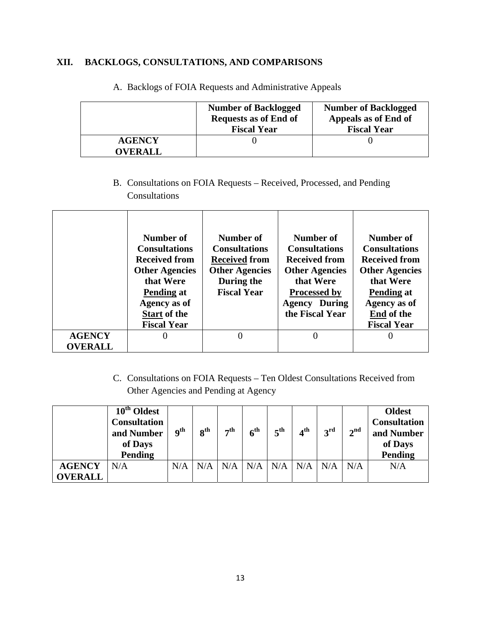## **XII. BACKLOGS, CONSULTATIONS, AND COMPARISONS**

|                                 | <b>Number of Backlogged</b><br><b>Requests as of End of</b><br><b>Fiscal Year</b> | <b>Number of Backlogged</b><br>Appeals as of End of<br><b>Fiscal Year</b> |
|---------------------------------|-----------------------------------------------------------------------------------|---------------------------------------------------------------------------|
| <b>AGENCY</b><br><b>OVERALL</b> |                                                                                   |                                                                           |

A. Backlogs of FOIA Requests and Administrative Appeals

B. Consultations on FOIA Requests – Received, Processed, and Pending Consultations

|                | Number of<br><b>Consultations</b><br><b>Received from</b><br><b>Other Agencies</b><br>that Were<br><b>Pending at</b><br>Agency as of<br><b>Start of the</b><br><b>Fiscal Year</b> | Number of<br><b>Consultations</b><br><b>Received from</b><br><b>Other Agencies</b><br>During the<br><b>Fiscal Year</b> | Number of<br><b>Consultations</b><br><b>Received from</b><br><b>Other Agencies</b><br>that Were<br><b>Processed by</b><br><b>Agency During</b><br>the Fiscal Year | Number of<br><b>Consultations</b><br><b>Received from</b><br><b>Other Agencies</b><br>that Were<br><b>Pending at</b><br>Agency as of<br>End of the<br><b>Fiscal Year</b> |
|----------------|-----------------------------------------------------------------------------------------------------------------------------------------------------------------------------------|------------------------------------------------------------------------------------------------------------------------|-------------------------------------------------------------------------------------------------------------------------------------------------------------------|--------------------------------------------------------------------------------------------------------------------------------------------------------------------------|
| <b>AGENCY</b>  | $\theta$                                                                                                                                                                          |                                                                                                                        | 0                                                                                                                                                                 | $\Omega$                                                                                                                                                                 |
| <b>OVERALL</b> |                                                                                                                                                                                   |                                                                                                                        |                                                                                                                                                                   |                                                                                                                                                                          |

C. Consultations on FOIA Requests – Ten Oldest Consultations Received from Other Agencies and Pending at Agency

|                | 10 <sup>th</sup> Oldest<br><b>Consultation</b><br>and Number<br>of Days<br>Pending | $\mathbf{Q}^{\text{th}}$ | $\bf{o}$ th | $\tau$ th | 6 <sup>th</sup> | $5^{\text{th}}$ | $4^{\text{th}}$ | 3 <sup>rd</sup> | 2 <sup>nd</sup> | <b>Oldest</b><br><b>Consultation</b><br>and Number<br>of Days<br>Pending |
|----------------|------------------------------------------------------------------------------------|--------------------------|-------------|-----------|-----------------|-----------------|-----------------|-----------------|-----------------|--------------------------------------------------------------------------|
| <b>AGENCY</b>  | N/A                                                                                | N/A                      | N/A         | N/A       | N/A             | N/A             | N/A             | N/A             | N/A             | N/A                                                                      |
| <b>OVERALL</b> |                                                                                    |                          |             |           |                 |                 |                 |                 |                 |                                                                          |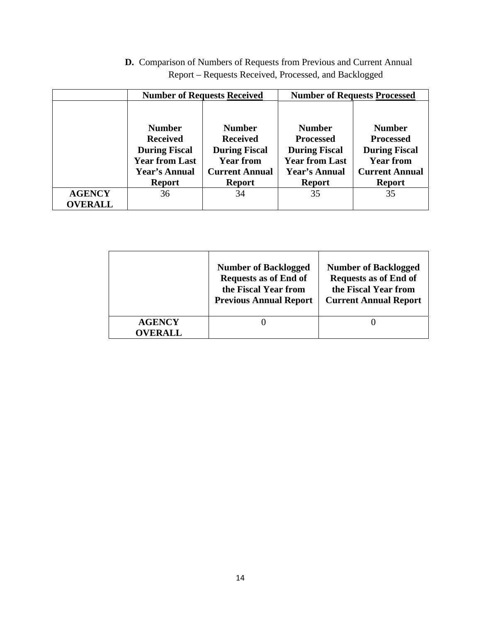| <b>D.</b> Comparison of Numbers of Requests from Previous and Current Annual |
|------------------------------------------------------------------------------|
| Report – Requests Received, Processed, and Backlogged                        |

|                |                       | <b>Number of Requests Received</b> | <b>Number of Requests Processed</b> |                       |  |
|----------------|-----------------------|------------------------------------|-------------------------------------|-----------------------|--|
|                |                       |                                    |                                     |                       |  |
|                | <b>Number</b>         | <b>Number</b>                      | <b>Number</b>                       | <b>Number</b>         |  |
|                | <b>Received</b>       | <b>Received</b>                    | <b>Processed</b>                    | <b>Processed</b>      |  |
|                | <b>During Fiscal</b>  | <b>During Fiscal</b>               | <b>During Fiscal</b>                | <b>During Fiscal</b>  |  |
|                | <b>Year from Last</b> | <b>Year from</b>                   | <b>Year from Last</b>               | <b>Year from</b>      |  |
|                | <b>Year's Annual</b>  | <b>Current Annual</b>              | <b>Year's Annual</b>                | <b>Current Annual</b> |  |
|                | <b>Report</b>         | <b>Report</b>                      | <b>Report</b>                       | <b>Report</b>         |  |
| <b>AGENCY</b>  | 36                    | 34                                 | 35                                  | 35                    |  |
| <b>OVERALL</b> |                       |                                    |                                     |                       |  |

|                                 | <b>Number of Backlogged</b><br><b>Requests as of End of</b><br>the Fiscal Year from<br><b>Previous Annual Report</b> | <b>Number of Backlogged</b><br><b>Requests as of End of</b><br>the Fiscal Year from<br><b>Current Annual Report</b> |
|---------------------------------|----------------------------------------------------------------------------------------------------------------------|---------------------------------------------------------------------------------------------------------------------|
| <b>AGENCY</b><br><b>OVERALL</b> |                                                                                                                      |                                                                                                                     |